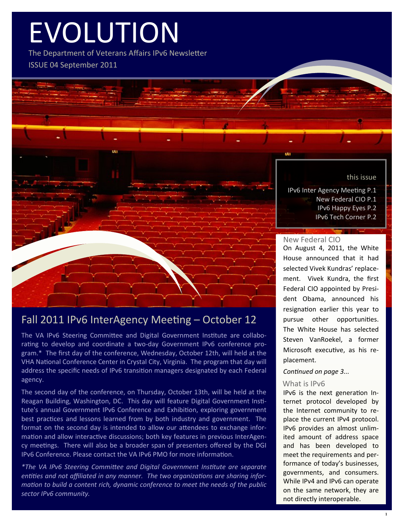# EVOLUTION

The Department of Veterans Affairs IPv6 Newsletter ISSUE 04 September 2011

this issue

IPv6 Inter Agency Meeting P.1 New Federal CIO P.1 IPv6 Happy Eyes P.2 IPv6 Tech Corner P.2

### New Federal CIO

On August 4, 2011, the White House announced that it had selected Vivek Kundras' replacement. Vivek Kundra, the first Federal CIO appointed by President Obama, announced his resignation earlier this year to pursue other opportunities. The White House has selected Steven VanRoekel, a former Microsoft executive, as his replacement.

### *Continued on page 3...*

### What is IPv6

IPv6 is the next generation Internet protocol developed by the Internet community to replace the current IPv4 protocol. IPv6 provides an almost unlimited amount of address space and has been developed to meet the requirements and performance of today's businesses, governments, and consumers. While IPv4 and IPv6 can operate on the same network, they are not directly interoperable.

# Fall 2011 IPv6 InterAgency Meeting – October 12

The VA IPv6 Steering Committee and Digital Government Institute are collaborating to develop and coordinate a two-day Government IPv6 conference program.\* The first day of the conference, Wednesday, October 12th, will held at the VHA National Conference Center in Crystal City, Virginia. The program that day will address the specific needs of IPv6 transition managers designated by each Federal agency.

The second day of the conference, on Thursday, October 13th, will be held at the Reagan Building, Washington, DC. This day will feature Digital Government Institute's annual Government IPv6 Conference and Exhibition, exploring government best practices and lessons learned from by both industry and government. The format on the second day is intended to allow our attendees to exchange information and allow interactive discussions; both key features in previous InterAgency meetings. There will also be a broader span of presenters offered by the DGI IPv6 Conference. Please contact the VA IPv6 PMO for more information.

*\*The VA IPv6 Steering Committee and Digital Government Institute are separate entities and not affiliated in any manner. The two organizations are sharing information to build a content rich, dynamic conference to meet the needs of the public sector IPv6 community.*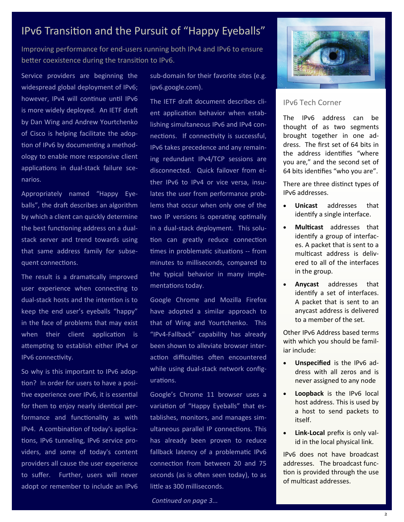# IPv6 Transition and the Pursuit of "Happy Eyeballs"

Improving performance for end-users running both IPv4 and IPv6 to ensure better coexistence during the transition to IPv6.

Service providers are beginning the widespread global deployment of IPv6; however, IPv4 will continue until IPv6 is more widely deployed. An IETF draft by Dan Wing and Andrew Yourtchenko of Cisco is helping facilitate the adoption of IPv6 by documenting a methodology to enable more responsive client applications in dual-stack failure scenarios.

Appropriately named "Happy Eyeballs", the draft describes an algorithm by which a client can quickly determine the best functioning address on a dualstack server and trend towards using that same address family for subsequent connections.

The result is a dramatically improved user experience when connecting to dual-stack hosts and the intention is to keep the end user's eyeballs "happy" in the face of problems that may exist when their client application is attempting to establish either IPv4 or IPv6 connectivity.

So why is this important to IPv6 adoption? In order for users to have a positive experience over IPv6, it is essential for them to enjoy nearly identical performance and functionality as with IPv4. A combination of today's applications, IPv6 tunneling, IPv6 service providers, and some of today's content providers all cause the user experience to suffer. Further, users will never adopt or remember to include an IPv6 sub-domain for their favorite sites (e.g. ipv6.google.com).

The IETF draft document describes client application behavior when establishing simultaneous IPv6 and IPv4 connections. If connectivity is successful, IPv6 takes precedence and any remaining redundant IPv4/TCP sessions are disconnected. Quick failover from either IPv6 to IPv4 or vice versa, insulates the user from performance problems that occur when only one of the two IP versions is operating optimally in a dual-stack deployment. This solution can greatly reduce connection times in problematic situations -- from minutes to milliseconds, compared to the typical behavior in many implementations today.

Google Chrome and Mozilla Firefox have adopted a similar approach to that of Wing and Yourtchenko. This "IPv4-Fallback" capability has already been shown to alleviate browser interaction difficulties often encountered while using dual-stack network configurations.

Google's Chrome 11 browser uses a variation of "Happy Eyeballs" that establishes, monitors, and manages simultaneous parallel IP connections. This has already been proven to reduce fallback latency of a problematic IPv6 connection from between 20 and 75 seconds (as is often seen today), to as little as 300 milliseconds.

*Continued on page 3...*



### IPv6 Tech Corner

The IPv6 address can be thought of as two segments brought together in one address. The first set of 64 bits in the address identifies "where you are," and the second set of 64 bits identifies "who you are".

There are three distinct types of IPv6 addresses.

- **Unicast** addresses that identify a single interface.
- **Multicast** addresses that identify a group of interfaces. A packet that is sent to a multicast address is delivered to all of the interfaces in the group.
- **Anycast** addresses that identify a set of interfaces. A packet that is sent to an anycast address is delivered to a member of the set.

Other IPv6 Address based terms with which you should be familiar include:

- **Unspecified** is the IPv6 address with all zeros and is never assigned to any node
- **Loopback** is the IPv6 local host address. This is used by a host to send packets to itself.
- **Link-Local** prefix is only valid in the local physical link.

IPv6 does not have broadcast addresses. The broadcast function is provided through the use of multicast addresses.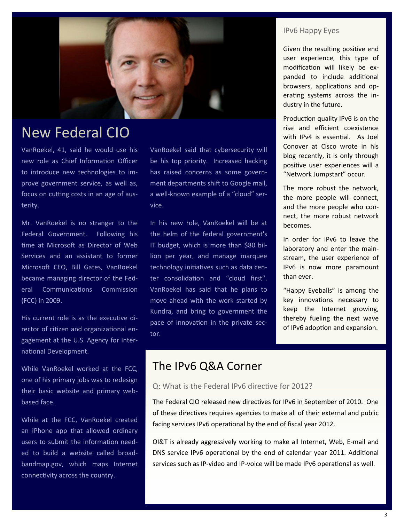

# New Federal CIO

VanRoekel, 41, said he would use his new role as Chief Information Officer to introduce new technologies to improve government service, as well as, focus on cutting costs in an age of austerity.

Mr. VanRoekel is no stranger to the Federal Government. Following his time at Microsoft as Director of Web Services and an assistant to former Microsoft CEO, Bill Gates, VanRoekel became managing director of the Federal Communications Commission (FCC) in 2009.

His current role is as the executive director of citizen and organizational engagement at the U.S. Agency for International Development.

While VanRoekel worked at the FCC, one of his primary jobs was to redesign their basic website and primary webbased face.

While at the FCC, VanRoekel created an iPhone app that allowed ordinary users to submit the information needed to build a website called broadbandmap.gov, which maps Internet connectivity across the country.

VanRoekel said that cybersecurity will be his top priority. Increased hacking has raised concerns as some government departments shift to Google mail, a well-known example of a "cloud" service.

In his new role, VanRoekel will be at the helm of the federal government's IT budget, which is more than \$80 billion per year, and manage marquee technology initiatives such as data center consolidation and "cloud first". VanRoekel has said that he plans to move ahead with the work started by Kundra, and bring to government the pace of innovation in the private sector.

### IPv6 Happy Eyes

Given the resulting positive end user experience, this type of modification will likely be expanded to include additional browsers, applications and operating systems across the industry in the future.

Production quality IPv6 is on the rise and efficient coexistence with IPv4 is essential. As Joel Conover at Cisco wrote in his blog recently, it is only through positive user experiences will a "Network Jumpstart" occur.

The more robust the network, the more people will connect, and the more people who connect, the more robust network becomes.

In order for IPv6 to leave the laboratory and enter the mainstream, the user experience of IPv6 is now more paramount than ever.

"Happy Eyeballs" is among the key innovations necessary to keep the Internet growing, thereby fueling the next wave of IPv6 adoption and expansion.

# The IPv6 Q&A Corner

Q: What is the Federal IPv6 directive for 2012?

The Federal CIO released new directives for IPv6 in September of 2010. One of these directives requires agencies to make all of their external and public facing services IPv6 operational by the end of fiscal year 2012.

OI&T is already aggressively working to make all Internet, Web, E-mail and DNS service IPv6 operational by the end of calendar year 2011. Additional services such as IP-video and IP-voice will be made IPv6 operational as well.